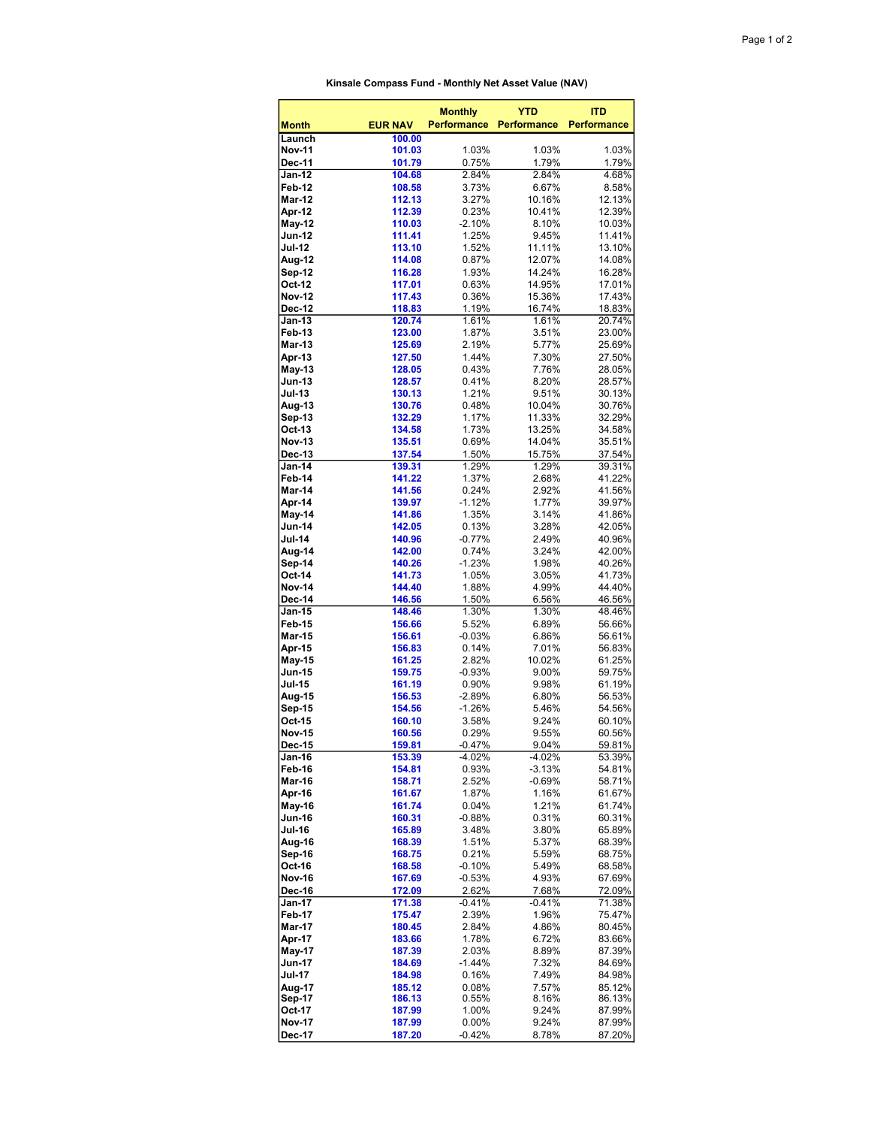| Kinsale Compass Fund - Monthly Net Asset Value (NAV) |
|------------------------------------------------------|
|                                                      |

| <b>Month</b>            | <b>EUR NAV</b>   | <b>Monthly</b><br><b>Performance</b> | <b>YTD</b><br><b>Performance</b> | <b>ITD</b><br><b>Performance</b> |
|-------------------------|------------------|--------------------------------------|----------------------------------|----------------------------------|
| Launch                  | 100.00           |                                      |                                  |                                  |
| Nov-11<br>Dec-11        | 101.03<br>101.79 | 1.03%<br>0.75%                       | 1.03%<br>1.79%                   | 1.03%<br>1.79%                   |
| <b>Jan-12</b>           | 104.68           | 2.84%                                | 2.84%                            | 4.68%                            |
| Feb-12                  | 108.58           | 3.73%                                | 6.67%                            | 8.58%                            |
| <b>Mar-12</b>           | 112.13           | 3.27%                                | 10.16%                           | 12.13%                           |
| Apr-12                  | 112.39           | 0.23%                                | 10.41%                           | 12.39%                           |
| May-12<br><b>Jun-12</b> | 110.03<br>111.41 | $-2.10%$<br>1.25%                    | 8.10%<br>9.45%                   | 10.03%<br>11.41%                 |
| <b>Jul-12</b>           | 113.10           | 1.52%                                | 11.11%                           | 13.10%                           |
| Aug-12                  | 114.08           | $0.87\%$                             | 12.07%                           | 14.08%                           |
| Sep-12<br>Oct-12        | 116.28<br>117.01 | 1.93%                                | 14.24%                           | 16.28%                           |
| <b>Nov-12</b>           | 117.43           | 0.63%<br>0.36%                       | 14.95%<br>15.36%                 | 17.01%<br>17.43%                 |
| Dec-12                  | 118.83           | 1.19%                                | 16.74%                           | 18.83%                           |
| Jan-13                  | 120.74           | 1.61%                                | 1.61%                            | 20.74%                           |
| Feb-13                  | 123.00           | 1.87%                                | 3.51%                            | 23.00%                           |
| <b>Mar-13</b><br>Apr-13 | 125.69<br>127.50 | 2.19%<br>1.44%                       | 5.77%<br>7.30%                   | 25.69%<br>27.50%                 |
| May-13                  | 128.05           | 0.43%                                | 7.76%                            | 28.05%                           |
| Jun-13                  | 128.57           | 0.41%                                | 8.20%                            | 28.57%                           |
| <b>Jul-13</b>           | 130.13           | 1.21%                                | 9.51%                            | 30.13%                           |
| Aug-13<br>Sep-13        | 130.76<br>132.29 | 0.48%<br>1.17%                       | 10.04%<br>11.33%                 | 30.76%<br>32.29%                 |
| Oct-13                  | 134.58           | 1.73%                                | 13.25%                           | 34.58%                           |
| <b>Nov-13</b>           | 135.51           | 0.69%                                | 14.04%                           | 35.51%                           |
| Dec-13                  | 137.54           | 1.50%                                | 15.75%                           | 37.54%                           |
| Jan-14                  | 139.31           | 1.29%                                | 1.29%                            | 39.31%                           |
| Feb-14<br>Mar-14        | 141.22<br>141.56 | 1.37%<br>0.24%                       | 2.68%<br>2.92%                   | 41.22%<br>41.56%                 |
| Apr-14                  | 139.97           | $-1.12%$                             | 1.77%                            | 39.97%                           |
| May-14                  | 141.86           | 1.35%                                | 3.14%                            | 41.86%                           |
| <b>Jun-14</b>           | 142.05           | 0.13%                                | 3.28%                            | 42.05%                           |
| <b>Jul-14</b><br>Aug-14 | 140.96<br>142.00 | $-0.77%$<br>0.74%                    | 2.49%<br>3.24%                   | 40.96%<br>42.00%                 |
| Sep-14                  | 140.26           | $-1.23%$                             | 1.98%                            | 40.26%                           |
| Oct-14                  | 141.73           | 1.05%                                | 3.05%                            | 41.73%                           |
| <b>Nov-14</b>           | 144.40           | 1.88%                                | 4.99%                            | 44.40%                           |
| Dec-14<br><b>Jan-15</b> | 146.56<br>148.46 | 1.50%<br>1.30%                       | 6.56%<br>1.30%                   | 46.56%<br>48.46%                 |
| Feb-15                  | 156.66           | 5.52%                                | 6.89%                            | 56.66%                           |
| <b>Mar-15</b>           | 156.61           | $-0.03%$                             | 6.86%                            | 56.61%                           |
| Apr-15                  | 156.83           | 0.14%                                | 7.01%                            | 56.83%                           |
| May-15<br><b>Jun-15</b> | 161.25<br>159.75 | 2.82%<br>$-0.93%$                    | 10.02%<br>9.00%                  | 61.25%<br>59.75%                 |
| <b>Jul-15</b>           | 161.19           | 0.90%                                | 9.98%                            | 61.19%                           |
| Aug-15                  | 156.53           | $-2.89%$                             | 6.80%                            | 56.53%                           |
| Sep-15                  | 154.56           | $-1.26%$                             | 5.46%                            | 54.56%                           |
| Oct-15<br>Nov-15        | 160.10<br>160.56 | 3.58%<br>0.29%                       | 9.24%                            | 60.10%<br>60.56%                 |
| Dec-15                  | 159.81           | $-0.47%$                             | 9.55%<br>9.04%                   | 59.81%                           |
| Jan-16                  | 153.39           | $-4.02%$                             | $-4.02%$                         | 53.39%                           |
| Feb-16                  | 154.81           | 0.93%                                | $-3.13%$                         | 54.81%                           |
| Mar-16                  | 158.71           | 2.52%                                | $-0.69%$                         | 58.71%                           |
| Apr-16<br>May-16        | 161.67<br>161.74 | 1.87%<br>0.04%                       | 1.16%<br>1.21%                   | 61.67%<br>61.74%                 |
| Jun-16                  | 160.31           | $-0.88%$                             | 0.31%                            | 60.31%                           |
| <b>Jul-16</b>           | 165.89           | 3.48%                                | 3.80%                            | 65.89%                           |
| Aug-16                  | 168.39           | 1.51%                                | 5.37%                            | 68.39%                           |
| Sep-16<br>Oct-16        | 168.75<br>168.58 | 0.21%<br>$-0.10%$                    | 5.59%<br>5.49%                   | 68.75%                           |
| Nov-16                  | 167.69           | $-0.53%$                             | 4.93%                            | 68.58%<br>67.69%                 |
| Dec-16                  | 172.09           | 2.62%                                | 7.68%                            | 72.09%                           |
| Jan-17                  | 171.38           | $-0.41%$                             | $-0.41%$                         | 71.38%                           |
| Feb-17                  | 175.47           | 2.39%                                | 1.96%                            | 75.47%                           |
| <b>Mar-17</b><br>Apr-17 | 180.45<br>183.66 | 2.84%<br>1.78%                       | 4.86%<br>6.72%                   | 80.45%<br>83.66%                 |
| May-17                  | 187.39           | 2.03%                                | 8.89%                            | 87.39%                           |
| Jun-17                  | 184.69           | $-1.44%$                             | 7.32%                            | 84.69%                           |
| <b>Jul-17</b>           | 184.98           | 0.16%                                | 7.49%                            | 84.98%                           |
| Aug-17<br>Sep-17        | 185.12<br>186.13 | 0.08%<br>0.55%                       | 7.57%<br>8.16%                   | 85.12%<br>86.13%                 |
| Oct-17                  | 187.99           | 1.00%                                | 9.24%                            | 87.99%                           |
| Nov-17                  | 187.99           | $0.00\%$                             | 9.24%                            | 87.99%                           |
| Dec-17                  | 187.20           | $-0.42%$                             | 8.78%                            | 87.20%                           |